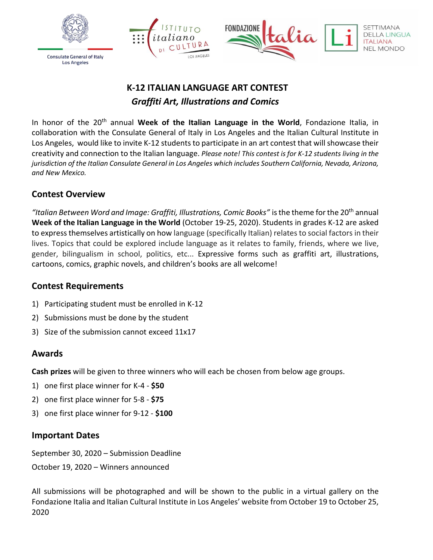





# **K-12 ITALIAN LANGUAGE ART CONTEST** *Graffiti Art, Illustrations and Comics*

In honor of the 20th annual **Week of the Italian Language in the World**, Fondazione Italia, in collaboration with the Consulate General of Italy in Los Angeles and the Italian Cultural Institute in Los Angeles, would like to invite K-12 students to participate in an art contest that will showcase their creativity and connection to the Italian language. *Please note! This contest is for K-12 students living in the jurisdiction of the Italian Consulate General in Los Angeles which includes Southern California, Nevada, Arizona, and New Mexico.*

### **Contest Overview**

*"Italian Between Word and Image: Graffiti, Illustrations, Comic Books"* isthe theme forthe 20th annual **Week of the Italian [Language](https://www.esteri.it/mae/en/politica_estera/cultura/promozionelinguaitaliana/settimanalinguaitaliana/) in the World** (October 19-25, 2020). Students in grades K-12 are asked to express themselves artistically on how language (specifically Italian) relates to social factors in their lives. Topics that could be explored include language as it relates to family, friends, where we live, gender, bilingualism in school, politics, etc... Expressive forms such as graffiti art, illustrations, cartoons, comics, graphic novels, and children's books are all welcome!

#### **Contest Requirements**

- 1) Participating student must be enrolled in K-12
- 2) Submissions must be done by the student
- 3) Size of the submission cannot exceed 11x17

#### **Awards**

**Cash prizes** will be given to three winners who will each be chosen from below age groups.

- 1) one first place winner for K-4 **\$50**
- 2) one first place winner for 5-8 **\$75**
- 3) one first place winner for 9-12 **\$100**

#### **Important Dates**

September 30, 2020 – Submission Deadline

October 19, 2020 – Winners announced

All submissions will be photographed and will be shown to the public in a virtual gallery on the Fondazione Italia and Italian Cultural Institute in Los Angeles' website from October 19 to October 25, 2020